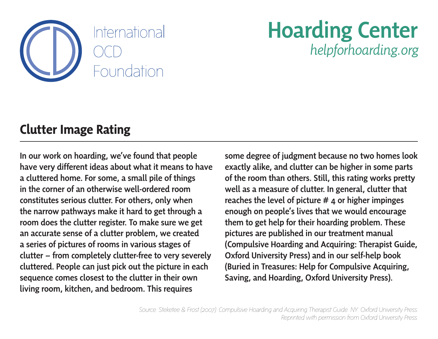

#### Hoarding Center *helpforhoarding.org*

#### **Clutter Image Rating**

In our work on hoarding, we've found that people have very different ideas about what it means to have a cluttered home. For some, a small pile of things in the corner of an otherwise well-ordered room constitutes serious clutter. For others, only when the narrow pathways make it hard to get through a room does the clutter register. To make sure we get an accurate sense of a clutter problem, we created a series of pictures of rooms in various stages of clutter – from completely clutter-free to very severely cluttered. People can just pick out the picture in each sequence comes closest to the clutter in their own living room, kitchen, and bedroom. This requires

some degree of judgment because no two homes look exactly alike, and clutter can be higher in some parts of the room than others. Still, this rating works pretty well as a measure of clutter. In general, clutter that reaches the level of picture # 4 or higher impinges enough on people's lives that we would encourage them to get help for their hoarding problem. These pictures are published in our treatment manual (Compulsive Hoarding and Acquiring: Therapist Guide, Oxford University Press) and in our self-help book (Buried in Treasures: Help for Compulsive Acquiring, Saving, and Hoarding, Oxford University Press).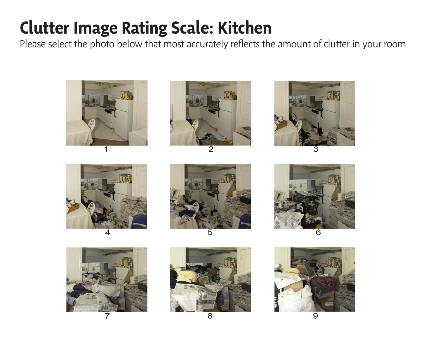### **Clutter Image Rating Scale: Kitchen**

Please select the photo below that most accurately reflects the amount of clutter in your room























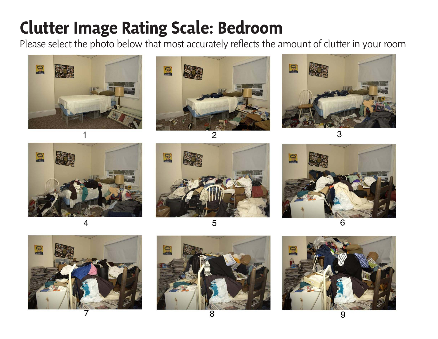## **Clutter Image Rating Scale: Bedroom**

Please select the photo below that most accurately reflects the amount of clutter in your room